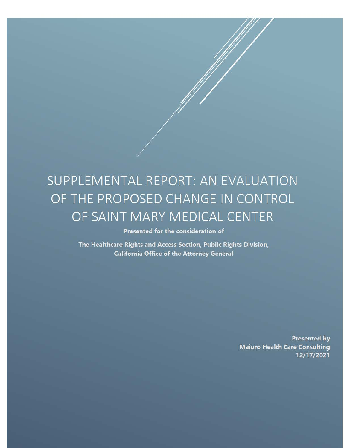# SUPPLEMENTAL REPORT: AN EVALUATION OF THE PROPOSED CHANGE IN CONTROL OF SAINT MARY MEDICAL CENTER

Presented for the consideration of

The Healthcare Rights and Access Section, Public Rights Division, **California Office of the Attorney General** 

> **Presented by Maiuro Health Care Consulting** 12/17/2021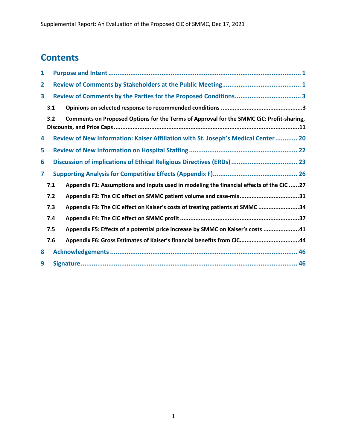## **Contents**

| 1                       |     |                                                                                          |  |  |  |  |  |  |
|-------------------------|-----|------------------------------------------------------------------------------------------|--|--|--|--|--|--|
| $\overline{\mathbf{2}}$ |     |                                                                                          |  |  |  |  |  |  |
| 3                       |     |                                                                                          |  |  |  |  |  |  |
|                         | 3.1 |                                                                                          |  |  |  |  |  |  |
|                         | 3.2 | Comments on Proposed Options for the Terms of Approval for the SMMC CiC: Profit-sharing, |  |  |  |  |  |  |
| 4                       |     | Review of New Information: Kaiser Affiliation with St. Joseph's Medical Center  20       |  |  |  |  |  |  |
| 5                       |     |                                                                                          |  |  |  |  |  |  |
| 6                       |     |                                                                                          |  |  |  |  |  |  |
| 7                       |     |                                                                                          |  |  |  |  |  |  |
|                         | 7.1 | Appendix F1: Assumptions and inputs used in modeling the financial effects of the CiC 27 |  |  |  |  |  |  |
|                         | 7.2 | Appendix F2: The CiC effect on SMMC patient volume and case-mix31                        |  |  |  |  |  |  |
|                         | 7.3 | Appendix F3: The CiC effect on Kaiser's costs of treating patients at SMMC 34            |  |  |  |  |  |  |
|                         | 7.4 |                                                                                          |  |  |  |  |  |  |
|                         | 7.5 | Appendix F5: Effects of a potential price increase by SMMC on Kaiser's costs 41          |  |  |  |  |  |  |
|                         | 7.6 | Appendix F6: Gross Estimates of Kaiser's financial benefits from CiC44                   |  |  |  |  |  |  |
| 8                       |     |                                                                                          |  |  |  |  |  |  |
| 9                       |     |                                                                                          |  |  |  |  |  |  |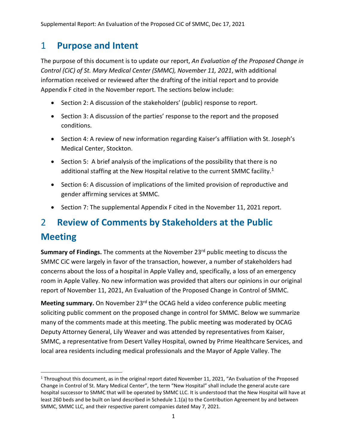## 1 **Purpose and Intent**

 The purpose of this document is to update our report, *An Evaluation of the Proposed Change in Control (CiC) of St. Mary Medical Center (SMMC), November 11, 2021*, with additional information received or reviewed after the drafting of the initial report and to provide Appendix F cited in the November report. The sections below include:

- Section 2: A discussion of the stakeholders' (public) response to report.
- Section 3: A discussion of the parties' response to the report and the proposed conditions.
- Section 4: A review of new information regarding Kaiser's affiliation with St. Joseph's Medical Center, Stockton.
- • Section 5: A brief analysis of the implications of the possibility that there is no additional staffing at the New Hospital relative to the current SMMC facility.<sup>1</sup>
- • Section 6: A discussion of implications of the limited provision of reproductive and gender affirming services at SMMC.
- Section 7: The supplemental Appendix F cited in the November 11, 2021 report.

## 2 **Review of Comments by Stakeholders at the Public Meeting**

 **Summary of Findings.** The comments at the November 23rd public meeting to discuss the concerns about the loss of a hospital in Apple Valley and, specifically, a loss of an emergency room in Apple Valley. No new information was provided that alters our opinions in our original SMMC CiC were largely in favor of the transaction, however, a number of stakeholders had report of November 11, 2021, An Evaluation of the Proposed Change in Control of SMMC.

 soliciting public comment on the proposed change in control for SMMC. Below we summarize many of the comments made at this meeting. The public meeting was moderated by OCAG **Meeting summary.** On November 23rd the OCAG held a video conference public meeting Deputy Attorney General, Lily Weaver and was attended by representatives from Kaiser, SMMC, a representative from Desert Valley Hospital, owned by Prime Healthcare Services, and local area residents including medical professionals and the Mayor of Apple Valley. The

<sup>&</sup>lt;sup>1</sup> Throughout this document, as in the original report dated November 11, 2021, "An Evaluation of the Proposed Change in Control of St. Mary Medical Center", the term "New Hospital" shall include the general acute care hospital successor to SMMC that will be operated by SMMC LLC. It is understood that the New Hospital will have at least 260 beds and be built on land described in Schedule 1.1(a) to the Contribution Agreement by and between SMMC, SMMC LLC, and their respective parent companies dated May 7, 2021.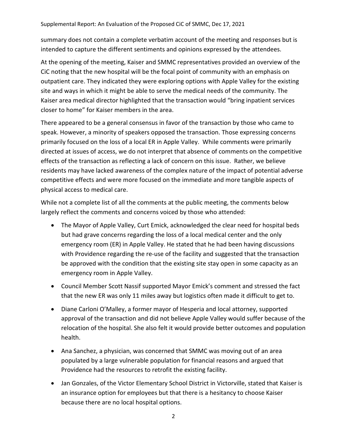summary does not contain a complete verbatim account of the meeting and responses but is intended to capture the different sentiments and opinions expressed by the attendees.

 CiC noting that the new hospital will be the focal point of community with an emphasis on outpatient care. They indicated they were exploring options with Apple Valley for the existing At the opening of the meeting, Kaiser and SMMC representatives provided an overview of the site and ways in which it might be able to serve the medical needs of the community. The Kaiser area medical director highlighted that the transaction would "bring inpatient services closer to home" for Kaiser members in the area.

 speak. However, a minority of speakers opposed the transaction. Those expressing concerns primarily focused on the loss of a local ER in Apple Valley. While comments were primarily directed at issues of access, we do not interpret that absence of comments on the competitive effects of the transaction as reflecting a lack of concern on this issue. Rather, we believe competitive effects and were more focused on the immediate and more tangible aspects of There appeared to be a general consensus in favor of the transaction by those who came to residents may have lacked awareness of the complex nature of the impact of potential adverse physical access to medical care.

 While not a complete list of all the comments at the public meeting, the comments below largely reflect the comments and concerns voiced by those who attended:

- • The Mayor of Apple Valley, Curt Emick, acknowledged the clear need for hospital beds but had grave concerns regarding the loss of a local medical center and the only emergency room (ER) in Apple Valley. He stated that he had been having discussions with Providence regarding the re-use of the facility and suggested that the transaction be approved with the condition that the existing site stay open in some capacity as an emergency room in Apple Valley.
- • Council Member Scott Nassif supported Mayor Emick's comment and stressed the fact that the new ER was only 11 miles away but logistics often made it difficult to get to.
- relocation of the hospital. She also felt it would provide better outcomes and population • Diane Carloni O'Malley, a former mayor of Hesperia and local attorney, supported approval of the transaction and did not believe Apple Valley would suffer because of the health.
- • Ana Sanchez, a physician, was concerned that SMMC was moving out of an area populated by a large vulnerable population for financial reasons and argued that Providence had the resources to retrofit the existing facility.
- an insurance option for employees but that there is a hesitancy to choose Kaiser • Jan Gonzales, of the Victor Elementary School District in Victorville, stated that Kaiser is because there are no local hospital options.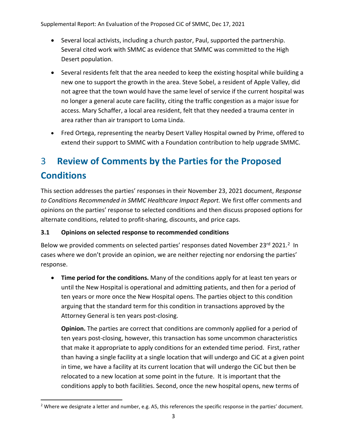<span id="page-4-0"></span>Supplemental Report: An Evaluation of the Proposed CiC of SMMC, Dec 17, 2021

- Desert population. • Several local activists, including a church pastor, Paul, supported the partnership. Several cited work with SMMC as evidence that SMMC was committed to the High
- • Several residents felt that the area needed to keep the existing hospital while building a new one to support the growth in the area. Steve Sobel, a resident of Apple Valley, did not agree that the town would have the same level of service if the current hospital was access. Mary Schaffer, a local area resident, felt that they needed a trauma center in no longer a general acute care facility, citing the traffic congestion as a major issue for area rather than air transport to Loma Linda.
- • Fred Ortega, representing the nearby Desert Valley Hospital owned by Prime, offered to extend their support to SMMC with a Foundation contribution to help upgrade SMMC.

## 3 **Review of Comments by the Parties for the Proposed Conditions**

 This section addresses the parties' responses in their November 23, 2021 document, *Response to Conditions Recommended in SMMC Healthcare Impact Report.* We first offer comments and opinions on the parties' response to selected conditions and then discuss proposed options for alternate conditions, related to profit-sharing, discounts, and price caps.

#### **3.1 Opinions on selected response to recommended conditions**

Below we provided comments on selected parties' responses dated November 23<sup>rd</sup> 2021.<sup>2</sup> In cases where we don't provide an opinion, we are neither rejecting nor endorsing the parties' response.

 • **Time period for the conditions.** Many of the conditions apply for at least ten years or until the New Hospital is operational and admitting patients, and then for a period of ten years or more once the New Hospital opens. The parties object to this condition arguing that the standard term for this condition in transactions approved by the Attorney General is ten years post-closing.

 **Opinion.** The parties are correct that conditions are commonly applied for a period of ten years post-closing, however, this transaction has some uncommon characteristics that make it appropriate to apply conditions for an extended time period. First, rather in time, we have a facility at its current location that will undergo the CiC but then be than having a single facility at a single location that will undergo and CiC at a given point relocated to a new location at some point in the future. It is important that the conditions apply to both facilities. Second, once the new hospital opens, new terms of

 $2$  Where we designate a letter and number, e.g. A5, this references the specific response in the parties' document.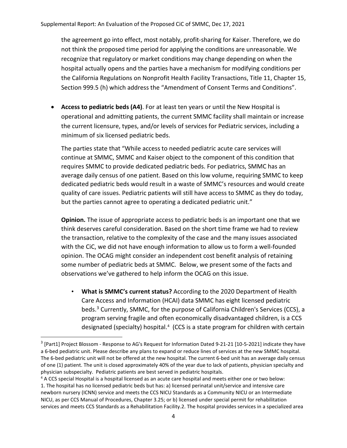the agreement go into effect, most notably, profit-sharing for Kaiser. Therefore, we do not think the proposed time period for applying the conditions are unreasonable. We recognize that regulatory or market conditions may change depending on when the Section 999.5 (h) which address the "Amendment of Consent Terms and Conditions". hospital actually opens and the parties have a mechanism for modifying conditions per the California Regulations on Nonprofit Health Facility Transactions, Title 11, Chapter 15,

 • **Access to pediatric beds (A4)**. For at least ten years or until the New Hospital is minimum of six licensed pediatric beds. operational and admitting patients, the current SMMC facility shall maintain or increase the current licensure, types, and/or levels of services for Pediatric services, including a

 The parties state that "While access to needed pediatric acute care services will continue at SMMC, SMMC and Kaiser object to the component of this condition that requires SMMC to provide dedicated pediatric beds. For pediatrics, SMMC has an average daily census of one patient. Based on this low volume, requiring SMMC to keep dedicated pediatric beds would result in a waste of SMMC's resources and would create quality of care issues. Pediatric patients will still have access to SMMC as they do today, but the parties cannot agree to operating a dedicated pediatric unit."

 **Opinion.** The issue of appropriate access to pediatric beds is an important one that we think deserves careful consideration. Based on the short time frame we had to review the transaction, relative to the complexity of the case and the many issues associated with the CiC, we did not have enough information to allow us to form a well-founded opinion. The OCAG might consider an independent cost benefit analysis of retaining some number of pediatric beds at SMMC. Below, we present some of the facts and observations we've gathered to help inform the OCAG on this issue.

 program serving fragile and often economically disadvantaged children, is a CCS designated (specialty) hospital.<sup>4</sup> (CCS is a state program for children with certain • **What is SMMC's current status?** According to the 2020 Department of Health Care Access and Information (HCAI) data SMMC has eight licensed pediatric beds.<sup>3</sup> Currently, SMMC, for the purpose of California Children's Services (CCS), a

<sup>3 [</sup>Part1] Project Blossom - Response to AG's Request for Information Dated 9-21-21 [10-5-2021] indicate they have a 6-bed pediatric unit. Please describe any plans to expand or reduce lines of services at the new SMMC hospital. The 6-bed pediatric unit will not be offered at the new hospital. The current 6-bed unit has an average daily census of one (1) patient. The unit is closed approximately 40% of the year due to lack of patients, physician specialty and physician subspecialty. Pediatric patients are best served in pediatric hospitals.<br><sup>4</sup> A CCS special Hospital is a hospital licensed as an acute care hospital and meets either one or two below:

<sup>1.</sup> The hospital has no licensed pediatric beds but has: a) licensed perinatal unit/service and intensive care newborn nursery (ICNN) service and meets the CCS NICU Standards as a Community NICU or an Intermediate NICU, as per CCS Manual of Procedures, Chapter 3.25; or b) licensed under special permit for rehabilitation services and meets CCS Standards as a Rehabilitation Facility.2. The hospital provides services in a specialized area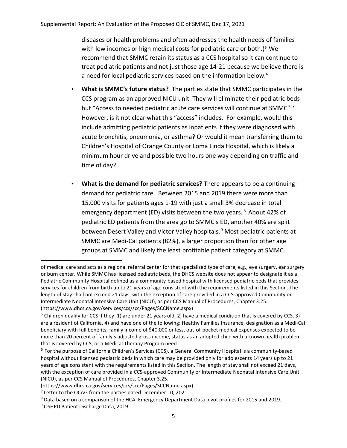with low incomes or high medical costs for pediatric care or both.)<sup>5</sup> We recommend that SMMC retain its status as a CCS hospital so it can continue to treat pediatric patients and not just those age 14-21 because we believe there is a need for local pediatric services based on the information below.<sup>6</sup> diseases or health problems and often addresses the health needs of families

- • **What is SMMC's future status?** The parties state that SMMC participates in the CCS program as an approved NICU unit. They will eliminate their pediatric beds but "Access to needed pediatric acute care services will continue at SMMC".<sup>7</sup><br>However, is it not clear what this "access" includes. For example, would this include admitting pediatric patients as inpatients if they were diagnosed with acute bronchitis, pneumonia, or asthma? Or would it mean transferring them to minimum hour drive and possible two hours one way depending on traffic and Children's Hospital of Orange County or Loma Linda Hospital, which is likely a time of day?
- demand for pediatric care. Between 2015 and 2019 there were more than 15,000 visits for patients ages 1-19 with just a small 3% decrease in total emergency department (ED) visits between the two years. <sup>8</sup> About 42% of between Desert Valley and Victor Valley hospitals.<sup>9</sup> Most pediatric patients at groups at SMMC and likely the least profitable patient category at SMMC. • **What is the demand for pediatric services?** There appears to be a continuing pediatric ED patients from the area go to SMMC's ED, another 40% are split SMMC are Medi-Cal patients (82%), a larger proportion than for other age

 Pediatric Community Hospital defined as a community-based hospital with licensed pediatric beds that provides of medical care and acts as a regional referral center for that specialized type of care, e.g., eye surgery, ear surgery or burn center. While SMMC has licensed pediatric beds, the DHCS website does not appear to designate it as a services for children from birth up to 21 years of age consistent with the requirements listed in this Section. The length of stay shall not exceed 21 days, with the exception of care provided in a CCS-approved Community or Intermediate Neonatal Intensive Care Unit (NICU), as per CCS Manual of Procedures, Chapter 3.25. [\(https://www.dhcs.ca.gov/services/ccs/scc/Pages/SCCName.aspx\)](https://www.dhcs.ca.gov/services/ccs/scc/Pages/SCCName.aspx)<br><sup>5</sup> Children qualify for CCS if they: 1) are under 21 years old, 2) have a medical condition that is covered by CCS, 3)

are a resident of California, 4) and have one of the following: Healthy Families Insurance, designation as a Medi-Cal beneficiary with full benefits, family income of \$40,000 or less, out-of-pocket medical expenses expected to be more than 20 percent of family's adjusted gross income, status as an adopted child with a known health problem that is covered by CCS, or a Medical Therapy Program need.<br><sup>6</sup> For the purpose of California Children's Services (CCS), a General Community Hospital is a community-based

hospital without licensed pediatric beds in which care may be provided only for adolescents 14 years up to 21 years of age consistent with the requirements listed in this Section. The length of stay shall not exceed 21 days, with the exception of care provided in a CCS-approved Community or Intermediate Neonatal Intensive Care Unit (NICU), as per CCS Manual of Procedures, Chapter 3.25.

[<sup>\(</sup>https://www.dhcs.ca.gov/services/ccs/scc/Pages/SCCName.aspx\)](https://www.dhcs.ca.gov/services/ccs/scc/Pages/SCCName.aspx) 7 Letter to the OCAG from the parties dated December 10, 2021.

<sup>8</sup> Data based on a comparison of the HCAI Emergency Department Data pivot profiles for 2015 and 2019.

<sup>9</sup> OSHPD Patient Discharge Data, 2019.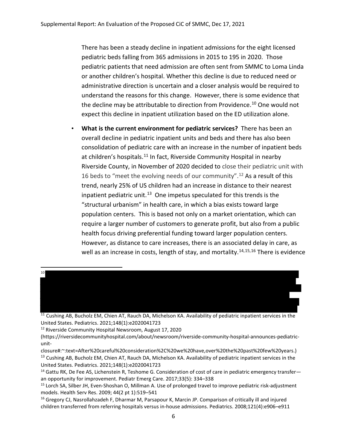pediatric beds falling from 365 admissions in 2015 to 195 in 2020. Those or another children's hospital. Whether this decline is due to reduced need or administrative direction is uncertain and a closer analysis would be required to the decline may be attributable to direction from Providence.<sup>10</sup> One would not There has been a steady decline in inpatient admissions for the eight licensed pediatric patients that need admission are often sent from SMMC to Loma Linda understand the reasons for this change. However, there is some evidence that expect this decline in inpatient utilization based on the ED utilization alone.

 • **What is the current environment for pediatric services?** There has been an Riverside County, in November of 2020 decided to close their pediatric unit with trend, nearly 25% of US children had an increase in distance to their nearest inpatient pediatric unit.<sup>13</sup> One impetus speculated for this trends is the population centers. This is based not only on a market orientation, which can health focus driving preferential funding toward larger population centers. overall decline in pediatric inpatient units and beds and there has also been consolidation of pediatric care with an increase in the number of inpatient beds at children's hospitals.<sup>11</sup> In fact, Riverside Community Hospital in nearby 16 beds to "meet the evolving needs of our community".<sup>12</sup> As a result of this "structural urbanism" in health care, in which a bias exists toward large require a larger number of customers to generate profit, but also from a public However, as distance to care increases, there is an associated delay in care, as well as an increase in costs, length of stay, and mortality.<sup>14,15,16</sup> There is evidence



 $11$  Cushing AB, Bucholz EM, Chien AT, Rauch DA, Michelson KA. Availability of pediatric inpatient services in the United States. Pediatrics. 2021;148(1):e2020041723 12 Riverside Community Hospital Newsroom, August 17, 2020

[\(https://riversidecommunityhospital.com/about/newsroom/riverside-community-hospital-announces-pediatric](https://riversidecommunityhospital.com/about/newsroom/riverside-community-hospital-announces-pediatric)unit-

closure#:~:text=After%20careful%20consideration%2C%20we%20have,over%20the%20past%20few%20years.) <sup>13</sup> Cushing AB, Bucholz EM, Chien AT, Rauch DA, Michelson KA. Availability of pediatric inpatient services in the United States. Pediatrics. 2021;148(1):e2020041723<br><sup>14</sup> Gattu RK, De Fee AS, Lichenstein R, Teshome G. Consideration of cost of care in pediatric emergency transfer

an opportunity for improvement. Pediatr Emerg Care. 2017;33(5): 334–338<br><sup>15</sup> Lorch SA, Silber JH, Even-Shoshan O, Millman A. Use of prolonged travel to improve pediatric risk-adjustment models. Health Serv Res. 2009; 44(2 pt 1):519–541<br><sup>16</sup> Gregory CJ, Nasrollahzadeh F, Dharmar M, Parsapour K, Marcin JP. Comparison of critically ill and injured

children transferred from referring hospitals versus in-house admissions. Pediatrics. 2008;121(4):e906–e911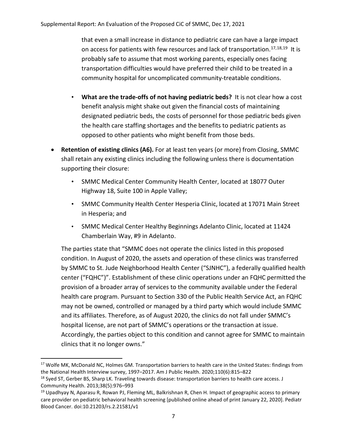that even a small increase in distance to pediatric care can have a large impact on access for patients with few resources and lack of transportation.<sup>17,18,19</sup> It is probably safe to assume that most working parents, especially ones facing transportation difficulties would have preferred their child to be treated in a community hospital for uncomplicated community-treatable conditions.

- opposed to other patients who might benefit from those beds. • **What are the trade-offs of not having pediatric beds?** It is not clear how a cost benefit analysis might shake out given the financial costs of maintaining designated pediatric beds, the costs of personnel for those pediatric beds given the health care staffing shortages and the benefits to pediatric patients as
- shall retain any existing clinics including the following unless there is documentation • **Retention of existing clinics (A6).** For at least ten years (or more) from Closing, SMMC supporting their closure:
	- SMMC Medical Center Community Health Center, located at 18077 Outer Highway 18, Suite 100 in Apple Valley;
	- SMMC Community Health Center Hesperia Clinic, located at 17071 Main Street in Hesperia; and
	- • SMMC Medical Center Healthy Beginnings Adelanto Clinic, located at 11424 Chamberlain Way, #9 in Adelanto.

 The parties state that "SMMC does not operate the clinics listed in this proposed hospital license, are not part of SMMC's operations or the transaction at issue. Accordingly, the parties object to this condition and cannot agree for SMMC to maintain condition. In August of 2020, the assets and operation of these clinics was transferred by SMMC to St. Jude Neighborhood Health Center ("SJNHC"), a federally qualified health center ("FQHC")". Establishment of these clinic operations under an FQHC permitted the provision of a broader array of services to the community available under the Federal health care program. Pursuant to Section 330 of the Public Health Service Act, an FQHC may not be owned, controlled or managed by a third party which would include SMMC and its affiliates. Therefore, as of August 2020, the clinics do not fall under SMMC's clinics that it no longer owns."

<sup>&</sup>lt;sup>17</sup> Wolfe MK, McDonald NC, Holmes GM. Transportation barriers to health care in the United States: findings from the National Health Interview survey, 1997–2017. Am J Public Health. 2020;110(6):815–822<br><sup>18</sup> Syed ST, Gerber BS, Sharp LK. Traveling towards disease: transportation barriers to health care access. J

Community Health. 2013;38(5):976–993<br><sup>19</sup> Upadhyay N, Aparasu R, Rowan PJ, Fleming ML, Balkrishnan R, Chen H. Impact of geographic access to primary

care provider on pediatric behavioral health screening [published online ahead of print January 22, 2020]. Pediatr Blood Cancer. doi:10.21203/rs.2.21581/v1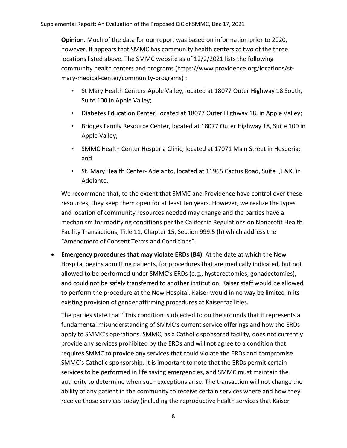**Opinion.** Much of the data for our report was based on information prior to 2020, however, It appears that SMMC has community health centers at two of the three locations listed above. The SMMC website as of 12/2/2021 lists the following community health centers and programs [\(https://www.providence.org/locations/st](https://www.providence.org/locations/st)mary-medical-center/community-programs) :

- • St Mary Health Centers-Apple Valley, located at 18077 Outer Highway 18 South, Suite 100 in Apple Valley;
- Diabetes Education Center, located at 18077 Outer Highway 18, in Apple Valley;
- Bridges Family Resource Center, located at 18077 Outer Highway 18, Suite 100 in Apple Valley;
- SMMC Health Center Hesperia Clinic, located at 17071 Main Street in Hesperia; and
- • St. Mary Health Center- Adelanto, located at 11965 Cactus Road, Suite I,J &K, in Adelanto.

 and location of community resources needed may change and the parties have a Facility Transactions, Title 11, Chapter 15, Section 999.5 (h) which address the We recommend that, to the extent that SMMC and Providence have control over these resources, they keep them open for at least ten years. However, we realize the types mechanism for modifying conditions per the California Regulations on Nonprofit Health "Amendment of Consent Terms and Conditions".

 • **Emergency procedures that may violate ERDs (B4)**. At the date at which the New Hospital begins admitting patients, for procedures that are medically indicated, but not allowed to be performed under SMMC's ERDs (e.g., hysterectomies, gonadectomies), and could not be safely transferred to another institution, Kaiser staff would be allowed to perform the procedure at the New Hospital. Kaiser would in no way be limited in its existing provision of gender affirming procedures at Kaiser facilities.

 apply to SMMC's operations. SMMC, as a Catholic sponsored facility, does not currently provide any services prohibited by the ERDs and will not agree to a condition that requires SMMC to provide any services that could violate the ERDs and compromise SMMC's Catholic sponsorship. It is important to note that the ERDs permit certain ability of any patient in the community to receive certain services where and how they The parties state that "This condition is objected to on the grounds that it represents a fundamental misunderstanding of SMMC's current service offerings and how the ERDs services to be performed in life saving emergencies, and SMMC must maintain the authority to determine when such exceptions arise. The transaction will not change the receive those services today (including the reproductive health services that Kaiser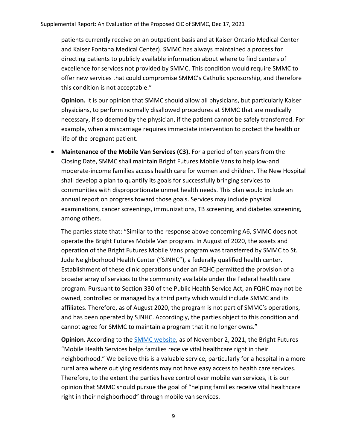excellence for services not provided by SMMC. This condition would require SMMC to patients currently receive on an outpatient basis and at Kaiser Ontario Medical Center and Kaiser Fontana Medical Center). SMMC has always maintained a process for directing patients to publicly available information about where to find centers of offer new services that could compromise SMMC's Catholic sponsorship, and therefore this condition is not acceptable."

 physicians, to perform normally disallowed procedures at SMMC that are medically example, when a miscarriage requires immediate intervention to protect the health or life of the pregnant patient. **Opinion.** It is our opinion that SMMC should allow all physicians, but particularly Kaiser necessary, if so deemed by the physician, if the patient cannot be safely transferred. For

 Closing Date, SMMC shall maintain Bright Futures Mobile Vans to help low-and • **Maintenance of the Mobile Van Services (C3).** For a period of ten years from the moderate-income families access health care for women and children. The New Hospital shall develop a plan to quantify its goals for successfully bringing services to communities with disproportionate unmet health needs. This plan would include an annual report on progress toward those goals. Services may include physical examinations, cancer screenings, immunizations, TB screening, and diabetes screening, among others.

 The parties state that: "Similar to the response above concerning A6, SMMC does not operation of the Bright Futures Mobile Vans program was transferred by SMMC to St. program. Pursuant to Section 330 of the Public Health Service Act, an FQHC may not be and has been operated by SJNHC. Accordingly, the parties object to this condition and operate the Bright Futures Mobile Van program. In August of 2020, the assets and Jude Neighborhood Health Center ("SJNHC"), a federally qualified health center. Establishment of these clinic operations under an FQHC permitted the provision of a broader array of services to the community available under the Federal health care owned, controlled or managed by a third party which would include SMMC and its affiliates. Therefore, as of August 2020, the program is not part of SMMC's operations, cannot agree for SMMC to maintain a program that it no longer owns."

 **Opinion***.* According to the SMMC website, as of November 2, 2021, the Bright Futures "Mobile Health Services helps families receive vital healthcare right in their neighborhood." We believe this is a valuable service, particularly for a hospital in a more Therefore, to the extent the parties have control over mobile van services, it is our right in their neighborhood" through mobile van services. rural area where outlying residents may not have easy access to health care services. opinion that SMMC should pursue the goal of "helping families receive vital healthcare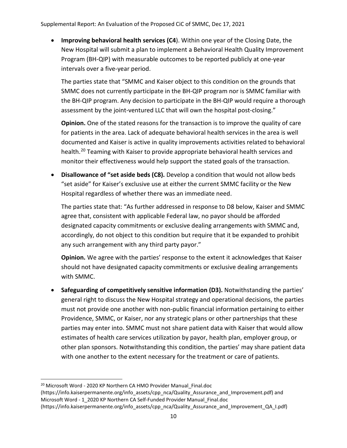Supplemental Report: An Evaluation of the Proposed CiC of SMMC, Dec 17, 2021

 • **Improving behavioral health services (C4**). Within one year of the Closing Date, the New Hospital will submit a plan to implement a Behavioral Health Quality Improvement Program (BH-QIP) with measurable outcomes to be reported publicly at one-year intervals over a five-year period.

 SMMC does not currently participate in the BH-QIP program nor is SMMC familiar with The parties state that "SMMC and Kaiser object to this condition on the grounds that the BH-QIP program. Any decision to participate in the BH-QIP would require a thorough assessment by the joint-ventured LLC that will own the hospital post-closing."

 **Opinion.** One of the stated reasons for the transaction is to improve the quality of care for patients in the area. Lack of adequate behavioral health services in the area is well documented and Kaiser is active in quality improvements activities related to behavioral health.<sup>20</sup> Teaming with Kaiser to provide appropriate behavioral health services and monitor their effectiveness would help support the stated goals of the transaction.

 "set aside" for Kaiser's exclusive use at either the current SMMC facility or the New Hospital regardless of whether there was an immediate need. • **Disallowance of "set aside beds (C8).** Develop a condition that would not allow beds

 designated capacity commitments or exclusive dealing arrangements with SMMC and, accordingly, do not object to this condition but require that it be expanded to prohibit any such arrangement with any third party payor." The parties state that: "As further addressed in response to D8 below, Kaiser and SMMC agree that, consistent with applicable Federal law, no payor should be afforded

**Opinion.** We agree with the parties' response to the extent it acknowledges that Kaiser should not have designated capacity commitments or exclusive dealing arrangements with SMMC.

 general right to discuss the New Hospital strategy and operational decisions, the parties parties may enter into. SMMC must not share patient data with Kaiser that would allow with one another to the extent necessary for the treatment or care of patients. • **Safeguarding of competitively sensitive information (D3).** Notwithstanding the parties' must not provide one another with non-public financial information pertaining to either Providence, SMMC, or Kaiser, nor any strategic plans or other partnerships that these estimates of health care services utilization by payor, health plan, employer group, or other plan sponsors. Notwithstanding this condition, the parties' may share patient data

<sup>&</sup>lt;sup>20</sup> Microsoft Word - 2020 KP Northern CA HMO Provider Manual\_Final.doc

[<sup>\(</sup>https://info.kaiserpermanente.org/info\\_assets/cpp\\_nca/Quality\\_Assurance\\_and\\_Improvement.pdf](https://info.kaiserpermanente.org/info_assets/cpp_nca/Quality_Assurance_and_Improvement.pdf)) and Microsoft Word - 1\_2020 KP Northern CA Self-Funded Provider Manual\_Final.doc [\(https://info.kaiserpermanente.org/info\\_assets/cpp\\_nca/Quality\\_Assurance\\_and\\_Improvement\\_QA\\_I.pdf](https://info.kaiserpermanente.org/info_assets/cpp_nca/Quality_Assurance_and_Improvement_QA_I.pdf))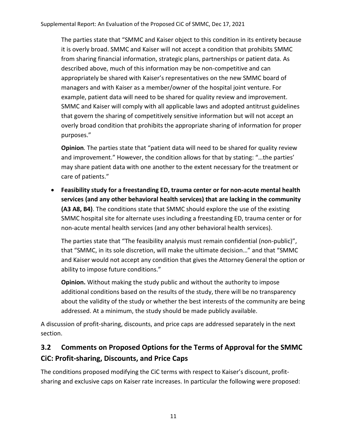<span id="page-12-0"></span> The parties state that "SMMC and Kaiser object to this condition in its entirety because it is overly broad. SMMC and Kaiser will not accept a condition that prohibits SMMC from sharing financial information, strategic plans, partnerships or patient data. As appropriately be shared with Kaiser's representatives on the new SMMC board of example, patient data will need to be shared for quality review and improvement. overly broad condition that prohibits the appropriate sharing of information for proper described above, much of this information may be non-competitive and can managers and with Kaiser as a member/owner of the hospital joint venture. For SMMC and Kaiser will comply with all applicable laws and adopted antitrust guidelines that govern the sharing of competitively sensitive information but will not accept an purposes."

 may share patient data with one another to the extent necessary for the treatment or **Opinion***.* The parties state that "patient data will need to be shared for quality review and improvement." However, the condition allows for that by stating: "…the parties' care of patients."

 • **Feasibility study for a freestanding ED, trauma center or for non-acute mental health services (and any other behavioral health services) that are lacking in the community (A3 A8, B4)**. The conditions state that SMMC should explore the use of the existing SMMC hospital site for alternate uses including a freestanding ED, trauma center or for non-acute mental health services (and any other behavioral health services).

 ability to impose future conditions." The parties state that "The feasibility analysis must remain confidential (non-public)", that "SMMC, in its sole discretion, will make the ultimate decision…" and that "SMMC and Kaiser would not accept any condition that gives the Attorney General the option or

 about the validity of the study or whether the best interests of the community are being addressed. At a minimum, the study should be made publicly available. **Opinion.** Without making the study public and without the authority to impose additional conditions based on the results of the study, there will be no transparency

 A discussion of profit-sharing, discounts, and price caps are addressed separately in the next section.

## **CiC: Profit-sharing, Discounts, and Price Caps 3.2 Comments on Proposed Options for the Terms of Approval for the SMMC**

 The conditions proposed modifying the CiC terms with respect to Kaiser's discount, profitsharing and exclusive caps on Kaiser rate increases. In particular the following were proposed: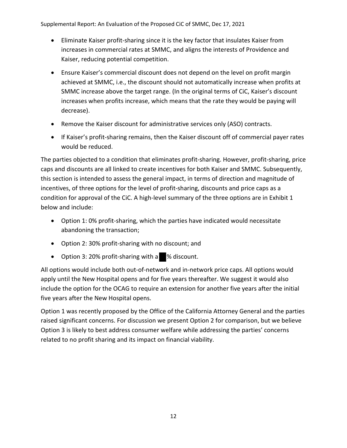Supplemental Report: An Evaluation of the Proposed CiC of SMMC, Dec 17, 2021

- Eliminate Kaiser profit-sharing since it is the key factor that insulates Kaiser from increases in commercial rates at SMMC, and aligns the interests of Providence and Kaiser, reducing potential competition.
- • Ensure Kaiser's commercial discount does not depend on the level on profit margin achieved at SMMC, i.e., the discount should not automatically increase when profits at increases when profits increase, which means that the rate they would be paying will decrease). SMMC increase above the target range. (In the original terms of CiC, Kaiser's discount
- Remove the Kaiser discount for administrative services only (ASO) contracts.
- If Kaiser's profit-sharing remains, then the Kaiser discount off of commercial payer rates would be reduced.

 this section is intended to assess the general impact, in terms of direction and magnitude of incentives, of three options for the level of profit-sharing, discounts and price caps as a condition for approval of the CiC. A high-level summary of the three options are in Exhibit 1 The parties objected to a condition that eliminates profit-sharing. However, profit-sharing, price caps and discounts are all linked to create incentives for both Kaiser and SMMC. Subsequently, below and include:

- abandoning the transaction; • Option 1: 0% profit-sharing, which the parties have indicated would necessitate
- Option 2: 30% profit-sharing with no discount; and
- Option 3: 20% profit-sharing with a  $\blacksquare$ % discount.

 apply until the New Hospital opens and for five years thereafter. We suggest it would also five years after the New Hospital opens. All options would include both out-of-network and in-network price caps. All options would include the option for the OCAG to require an extension for another five years after the initial

 raised significant concerns. For discussion we present Option 2 for comparison, but we believe Option 3 is likely to best address consumer welfare while addressing the parties' concerns related to no profit sharing and its impact on financial viability. Option 1 was recently proposed by the Office of the California Attorney General and the parties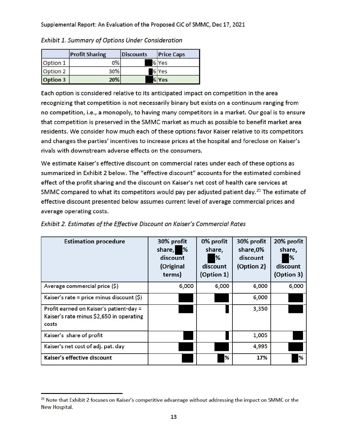|  |  | Exhibit 1. Summary of Options Under Consideration |
|--|--|---------------------------------------------------|
|  |  |                                                   |

|                 | <b>Profit Sharing</b> | <b>Discounts</b> | <b>Price Caps</b> |
|-----------------|-----------------------|------------------|-------------------|
| Option 1        | 0%                    |                  | % Yes             |
| Option 2        | 30%                   |                  | % Yes             |
| <b>Option 3</b> | 20%                   |                  | <b>%Yes</b>       |

Each option is considered relative to its anticipated impact on competition in the area recognizing that competition is not necessarily binary but exists on a continuum ranging from no competition, i.e., a monopoly, to having many competitors in a market. Our goal is to ensure that competition is preserved in the SMMC market as much as possible to benefit market area residents. We consider how much each of these options favor Kaiser relative to its competitors and changes the parties' incentives to increase prices at the hospital and foreclose on Kaiser's rivals with downstream adverse effects on the consumers.

We estimate Kaiser's effective discount on commercial rates under each of these options as summarized in Exhibit 2 below. The "effective discount" accounts for the estimated combined effect of the profit sharing and the discount on Kaiser's net cost of health care services at SMMC compared to what its competitors would pay per adjusted patient day.<sup>21</sup> The estimate of effective discount presented below assumes current level of average commercial prices and average operating costs.

| <b>Estimation procedure</b>                                                                  | 30% profit<br>%<br>share,<br>discount<br>(Original<br>terms) | 0% profit<br>share,<br>%<br>discount<br>(Option 1) | 30% profit<br>share,0%<br>discount<br>(Option 2) | 20% profit<br>share,<br>%<br>discount<br>(Option 3) |
|----------------------------------------------------------------------------------------------|--------------------------------------------------------------|----------------------------------------------------|--------------------------------------------------|-----------------------------------------------------|
| Average commercial price (\$)                                                                | 6,000                                                        | 6,000                                              | 6,000                                            | 6,000                                               |
| Kaiser's rate = price minus discount $(\xi)$                                                 |                                                              |                                                    | 6,000                                            |                                                     |
| Profit earned on Kaiser's patient-day =<br>Kaiser's rate minus \$2,650 in operating<br>costs |                                                              |                                                    | 3,350                                            |                                                     |
| Kaiser's share of profit                                                                     |                                                              |                                                    | 1,005                                            |                                                     |
| Kaiser's net cost of adj. pat. day                                                           |                                                              |                                                    | 4,995                                            |                                                     |
| Kaiser's effective discount                                                                  |                                                              | %                                                  | 17%                                              | %                                                   |

|  |  |  | Exhibit 2. Estimates of the Effective Discount on Kaiser's Commercial Rates |  |
|--|--|--|-----------------------------------------------------------------------------|--|

<sup>&</sup>lt;sup>21</sup> Note that Exhibit 2 focuses on Kaiser's competitive advantage without addressing the impact on SMMC or the New Hospital.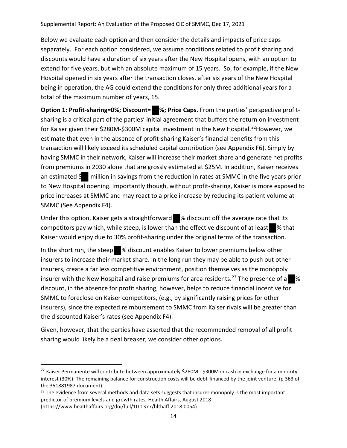Below we evaluate each option and then consider the details and impacts of price caps discounts would have a duration of six years after the New Hospital opens, with an option to extend for five years, but with an absolute maximum of 15 years. So, for example, if the New Hospital opened in six years after the transaction closes, after six years of the New Hospital separately. For each option considered, we assume conditions related to profit sharing and being in operation, the AG could extend the conditions for only three additional years for a total of the maximum number of years, 15.

 sharing is a critical part of the parties' initial agreement that buffers the return on investment estimate that even in the absence of profit-sharing Kaiser's financial benefits from this having SMMC in their network, Kaiser will increase their market share and generate net profits from premiums in 2030 alone that are grossly estimated at \$25M. In addition, Kaiser receives to New Hospital opening. Importantly though, without profit-sharing, Kaiser is more exposed to price increases at SMMC and may react to a price increase by reducing its patient volume at **Option 1: Profit-sharing=0%; Discount=** %; Price Caps. From the parties' perspective profitan estimated \$ million in savings from the reduction in rates at SMMC in the five years prior for Kaiser given their \$280M-\$300M capital investment in the New Hospital.<sup>22</sup>However, we transaction will likely exceed its scheduled capital contribution (see Appendix F6). Simply by SMMC (See Appendix F4).

Under this option, Kaiser gets a straightforward % discount off the average rate that its competitors pay which, while steep, is lower than the effective discount of at least  $\triangledown$  % that Kaiser would enjoy due to 30% profit-sharing under the original terms of the transaction. % that

 insurers to increase their market share. In the long run they may be able to push out other insurer with the New Hospital and raise premiums for area residents.<sup>23</sup> The presence of a  $\blacksquare$  % discount, in the absence for profit sharing, however, helps to reduce financial incentive for SMMC to foreclose on Kaiser competitors, (e.g., by significantly raising prices for other insurers), since the expected reimbursement to SMMC from Kaiser rivals will be greater than In the short run, the steep % discount enables Kaiser to lower premiums below other insurers, create a far less competitive environment, position themselves as the monopoly the discounted Kaiser's rates (see Appendix F4).

 Given, however, that the parties have asserted that the recommended removal of all profit sharing would likely be a deal breaker, we consider other options.

<sup>&</sup>lt;sup>22</sup> Kaiser Permanente will contribute between approximately \$280M - \$300M in cash in exchange for a minority interest (30%). The remaining balance for construction costs will be debt-financed by the joint venture. (p 363 of the 351881987 document).<br><sup>23</sup> The evidence from several methods and data sets suggests that insurer monopoly is the most important

predictor of premium levels and growth rates. Health Affairs, August 2018 [\(https://www.healthaffairs.org/doi/full/10.1377/hlthaff.2018.0054](https://www.healthaffairs.org/doi/full/10.1377/hlthaff.2018.0054))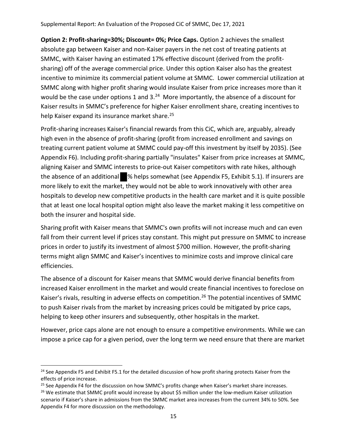absolute gap between Kaiser and non-Kaiser payers in the net cost of treating patients at SMMC, with Kaiser having an estimated 17% effective discount (derived from the profit- sharing) off of the average commercial price. Under this option Kaiser also has the greatest incentive to minimize its commercial patient volume at SMMC. Lower commercial utilization at would be the case under options 1 and  $3.^{24}$  More importantly, the absence of a discount for Kaiser results in SMMC's preference for higher Kaiser enrollment share, creating incentives to help Kaiser expand its insurance market [share.](https://share.25) 25 **Option 2: Profit-sharing=30%; Discount= 0%; Price Caps.** Option 2 achieves the smallest SMMC along with higher profit sharing would insulate Kaiser from price increases more than it

 Appendix F6). Including profit-sharing partially "insulates" Kaiser from price increases at SMMC, the absence of an additional % helps somewhat (see Appendix F5, Exhibit 5.1). If insurers are more likely to exit the market, they would not be able to work innovatively with other area hospitals to develop new competitive products in the health care market and it is quite possible that at least one local hospital option might also leave the market making it less competitive on Profit-sharing increases Kaiser's financial rewards from this CiC, which are, arguably, already high even in the absence of profit-sharing (profit from increased enrollment and savings on treating current patient volume at SMMC could pay-off this investment by itself by 2035). (See aligning Kaiser and SMMC interests to price-out Kaiser competitors with rate hikes, although both the insurer and hospital side.

 fall from their current level if prices stay constant. This might put pressure on SMMC to increase prices in order to justify its investment of almost \$700 million. However, the profit-sharing terms might align SMMC and Kaiser's incentives to minimize costs and improve clinical care Sharing profit with Kaiser means that SMMC's own profits will not increase much and can even efficiencies.

 increased Kaiser enrollment in the market and would create financial incentives to foreclose on Kaiser's rivals, resulting in adverse effects on [competition.](https://competition.26)<sup>26</sup> The potential incentives of SMMC The absence of a discount for Kaiser means that SMMC would derive financial benefits from to push Kaiser rivals from the market by increasing prices could be mitigated by price caps, helping to keep other insurers and subsequently, other hospitals in the market.

However, price caps alone are not enough to ensure a competitive environments. While we can impose a price cap for a given period, over the long term we need ensure that there are market

<sup>&</sup>lt;sup>24</sup> See Appendix F5 and Exhibit F5.1 for the detailed discussion of how profit sharing protects Kaiser from the effects of price increase.

<sup>&</sup>lt;sup>25</sup> See Appendix F4 for the discussion on how SMMC's profits change when Kaiser's market share increases.<br><sup>26</sup> We estimate that SMMC profit would increase by about \$5 million under the low-medium Kaiser utilization

scenario if Kaiser's share in admissions from the SMMC market area increases from the current 34% to 50%. See Appendix F4 for more discussion on the methodology.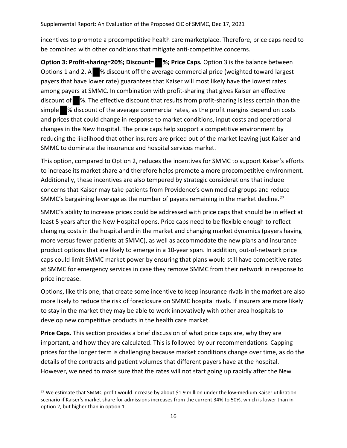incentives to promote a procompetitive health care marketplace. Therefore, price caps need to be combined with other conditions that mitigate anti-competitive concerns.

Option 3: Profit-sharing=20%; Discount=<br>Options 1 and 2. A  $\blacksquare$ % discount off the average commercial price (weighted toward largest reducing the likelihood that other insurers are priced out of the market leaving just Kaiser and **Option 3: Profit-sharing=20%; Discount= %; Price Caps.** Option 3 is the balance between payers that have lower rate) guarantees that Kaiser will most likely have the lowest rates among payers at SMMC. In combination with profit-sharing that gives Kaiser an effective discount of %. The effective discount that results from profit-sharing is less certain than the simple  $\blacksquare$ % discount of the average commercial rates, as the profit margins depend on costs and prices that could change in response to market conditions, input costs and operational changes in the New Hospital. The price caps help support a competitive environment by SMMC to dominate the insurance and hospital services market.

 to increase its market share and therefore helps promote a more procompetitive environment. Additionally, these incentives are also tempered by strategic considerations that include SMMC's bargaining leverage as the number of payers remaining in the market [decline.](https://decline.27)<sup>27</sup> This option, compared to Option 2, reduces the incentives for SMMC to support Kaiser's efforts concerns that Kaiser may take patients from Providence's own medical groups and reduce

 more versus fewer patients at SMMC), as well as accommodate the new plans and insurance at SMMC for emergency services in case they remove SMMC from their network in response to SMMC's ability to increase prices could be addressed with price caps that should be in effect at least 5 years after the New Hospital opens. Price caps need to be flexible enough to reflect changing costs in the hospital and in the market and changing market dynamics (payers having product options that are likely to emerge in a 10-year span. In addition, out-of-network price caps could limit SMMC market power by ensuring that plans would still have competitive rates price increase.

 more likely to reduce the risk of foreclosure on SMMC hospital rivals. If insurers are more likely to stay in the market they may be able to work innovatively with other area hospitals to develop new competitive products in the health care market. Options, like this one, that create some incentive to keep insurance rivals in the market are also

 **Price Caps.** This section provides a brief discussion of what price caps are, why they are important, and how they are calculated. This is followed by our recommendations. Capping prices for the longer term is challenging because market conditions change over time, as do the details of the contracts and patient volumes that different payers have at the hospital. However, we need to make sure that the rates will not start going up rapidly after the New

<sup>&</sup>lt;sup>27</sup> We estimate that SMMC profit would increase by about \$1.9 million under the low-medium Kaiser utilization scenario if Kaiser's market share for admissions increases from the current 34% to 50%, which is lower than in option 2, but higher than in option 1.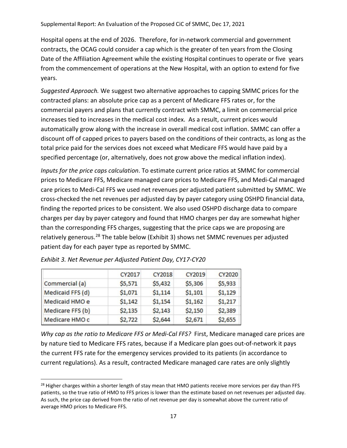Hospital opens at the end of 2026. Therefore, for in-network commercial and government Date of the Affiliation Agreement while the existing Hospital continues to operate or five years from the commencement of operations at the New Hospital, with an option to extend for five contracts, the OCAG could consider a cap which is the greater of ten years from the Closing years.

 *Suggested Approach.* We suggest two alternative approaches to capping SMMC prices for the contracted plans: an absolute price cap as a percent of Medicare FFS rates or, for the discount off of capped prices to payers based on the conditions of their contracts, as long as the commercial payers and plans that currently contract with SMMC, a limit on commercial price increases tied to increases in the medical cost index. As a result, current prices would automatically grow along with the increase in overall medical cost inflation. SMMC can offer a total price paid for the services does not exceed what Medicare FFS would have paid by a specified percentage (or, alternatively, does not grow above the medical inflation index).

 prices to Medicare FFS, Medicare managed care prices to Medicare FFS, and Medi-Cal managed finding the reported prices to be consistent. We also used OSHPD discharge data to compare than the corresponding FFS charges, suggesting that the price caps we are proposing are relatively [generous.](https://generous.28)<sup>28</sup> The table below (Exhibit 3) shows net SMMC revenues per adjusted *Inputs for the price caps calculation*. To estimate current price ratios at SMMC for commercial care prices to Medi-Cal FFS we used net revenues per adjusted patient submitted by SMMC. We cross-checked the net revenues per adjusted day by payer category using OSHPD financial data, charges per day by payer category and found that HMO charges per day are somewhat higher patient day for each payer type as reported by SMMC.

|                  | CY2017  | CY2018  | CY2019  | <b>CY2020</b> |
|------------------|---------|---------|---------|---------------|
| Commercial (a)   | \$5,571 | \$5,432 | \$5,306 | \$5,933       |
| Medicaid FFS (d) | \$1,071 | \$1,114 | \$1,101 | \$1,129       |
| Medicaid HMO e   | \$1,142 | \$1,154 | \$1,162 | \$1,217       |
| Medicare FFS (b) | \$2,135 | \$2,143 | \$2,150 | \$2,389       |
| Medicare HMO c   | \$2,722 | \$2,644 | \$2,671 | \$2,655       |

|  | Exhibit 3. Net Revenue per Adjusted Patient Day, CY17-CY20 |  |
|--|------------------------------------------------------------|--|
|  |                                                            |  |

 *Why cap as the ratio to Medicare FFS or Medi-Cal FFS?* First, Medicare managed care prices are by nature tied to Medicare FFS rates, because if a Medicare plan goes out-of-network it pays current regulations). As a result, contracted Medicare managed care rates are only slightly the current FFS rate for the emergency services provided to its patients (in accordance to

<sup>&</sup>lt;sup>28</sup> Higher charges within a shorter length of stay mean that HMO patients receive more services per day than FFS patients, so the true ratio of HMO to FFS prices is lower than the estimate based on net revenues per adjusted day. As such, the price cap derived from the ratio of net revenue per day is somewhat above the current ratio of average HMO prices to Medicare FFS.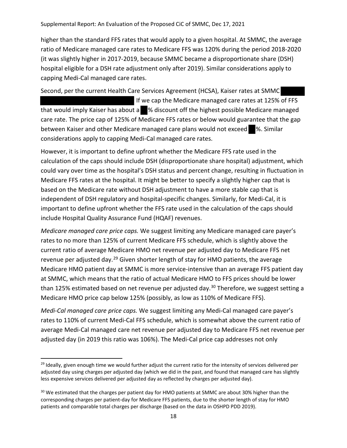(it was slightly higher in 2017-2019, because SMMC became a disproportionate share (DSH) hospital eligible for a DSH rate adjustment only after 2019). Similar considerations apply to higher than the standard FFS rates that would apply to a given hospital. At SMMC, the average ratio of Medicare managed care rates to Medicare FFS was 120% during the period 2018-2020 capping Medi-Cal managed care rates.

Second, per the current Health Care Services Agreement (HCSA), Kaiser rates at SMMC If we cap the Medicare managed care rates at 125% of FFS ement (HCSA), Kaiser rates at SMMC<br>Iedicare managed care rates at 125% of FF<br>off the highest possible Medicare manage care rate. The price cap of 125% of Medicare FFS rates or below would guarantee that the gap between Kaiser and other Medicare managed care plans would not exceed %. Similar that would imply Kaiser has about a **1999 %** discount off the highest possible Medicare managed considerations apply to capping Medi-Cal managed care rates.

 However, it is important to define upfront whether the Medicare FFS rate used in the could vary over time as the hospital's DSH status and percent change, resulting in fluctuation in important to define upfront whether the FFS rate used in the calculation of the caps should calculation of the caps should include DSH (disproportionate share hospital) adjustment, which Medicare FFS rates at the hospital. It might be better to specify a slightly higher cap that is based on the Medicare rate without DSH adjustment to have a more stable cap that is independent of DSH regulatory and hospital-specific changes. Similarly, for Medi-Cal, it is include Hospital Quality Assurance Fund (HQAF) revenues.

 *Medicare managed care price caps.* We suggest limiting any Medicare managed care payer's rates to no more than 125% of current Medicare FFS schedule, which is slightly above the current ratio of average Medicare HMO net revenue per adjusted day to Medicare FFS net revenue per adjusted day.<sup>29</sup> Given shorter length of stay for HMO patients, the average at SMMC, which means that the ratio of actual Medicare HMO to FFS prices should be lower Medicare HMO patient day at SMMC is more service-intensive than an average FFS patient day than 125% estimated based on net revenue per adjusted day.<sup>30</sup> Therefore, we suggest setting a Medicare HMO price cap below 125% (possibly, as low as 110% of Medicare FFS).

 average Medi-Cal managed care net revenue per adjusted day to Medicare FFS net revenue per *Medi-Cal managed care price caps.* We suggest limiting any Medi-Cal managed care payer's rates to 110% of current Medi-Cal FFS schedule, which is somewhat above the current ratio of adjusted day (in 2019 this ratio was 106%). The Medi-Cal price cap addresses not only

 $29$  Ideally, given enough time we would further adjust the current ratio for the intensity of services delivered per adjusted day using charges per adjusted day (which we did in the past, and found that managed care has slightly less expensive services delivered per adjusted day as reflected by charges per adjusted day).

<sup>&</sup>lt;sup>30</sup> We estimated that the charges per patient day for HMO patients at SMMC are about 30% higher than the corresponding charges per patient-day for Medicare FFS patients, due to the shorter length of stay for HMO patients and comparable total charges per discharge (based on the data in OSHPD PDD 2019).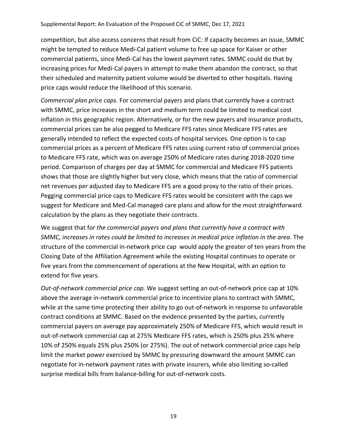might be tempted to reduce Medi-Cal patient volume to free up space for Kaiser or other competition, but also access concerns that result from CiC: If capacity becomes an issue, SMMC commercial patients, since Medi-Cal has the lowest payment rates. SMMC could do that by increasing prices for Medi-Cal payers in attempt to make them abandon the contract, so that their scheduled and maternity patient volume would be diverted to other hospitals. Having price caps would reduce the likelihood of this scenario.

 commercial prices can be also pegged to Medicare FFS rates since Medicare FFS rates are shows that those are slightly higher but very close, which means that the ratio of commercial net revenues per adjusted day to Medicare FFS are a good proxy to the ratio of their prices. Pegging commercial price caps to Medicare FFS rates would be consistent with the caps we suggest for Medicare and Med-Cal managed care plans and allow for the most straightforward calculation by the plans as they negotiate their contracts. *Commercial plan price caps.* For commercial payers and plans that currently have a contract with SMMC, price increases in the short and medium term could be limited to medical cost inflation in this geographic region. Alternatively, or for the new payers and insurance products, generally intended to reflect the expected costs of hospital services. One option is to cap commercial prices as a percent of Medicare FFS rates using current ratio of commercial prices to Medicare FFS rate, which was on average 250% of Medicare rates during 2018-2020 time period. Comparison of charges per day at SMMC for commercial and Medicare FFS patients

 structure of the commercial in-network price cap would apply the greater of ten years from the We suggest that f*or the commercial payers and plans that currently have a contract with SMMC, increases in rates could be limited to increases in medical price inflation in the area*. The Closing Date of the Affiliation Agreement while the existing Hospital continues to operate or five years from the commencement of operations at the New Hospital, with an option to extend for five years*.* 

 above the average in-network commercial price to incentivize plans to contract with SMMC, out-of-network commercial cap at 275% Medicare FFS rates, which is 250% plus 25% where 10% of 250% equals 25% plus 250% (or 275%). The out of network commercial price caps help limit the market power exercised by SMMC by pressuring downward the amount SMMC can negotiate for in-network payment rates with private insurers, while also limiting so-called *Out-of-network commercial price cap.* We suggest setting an out-of-network price cap at 10% while at the same time protecting their ability to go out-of-network in response to unfavorable contract conditions at SMMC. Based on the evidence presented by the parties, currently commercial payers on average pay approximately 250% of Medicare FFS, which would result in surprise medical bills from balance-billing for out-of-network costs.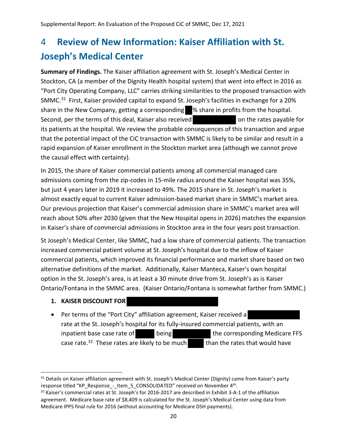#### <span id="page-21-0"></span>4 **Review of New Information: Kaiser Affiliation with St. Joseph's Medical Center**

 Stockton, CA (a member of the Dignity Health hospital system) that went into effect in 2016 as "Port City Operating Company, LLC" carries striking similarities to the proposed transaction with SMMC.<sup>31</sup> First, Kaiser provided capital to expand St. Joseph's facilities in exchange for a 20% share in the New Company, getting a corresponding % share in profits from the hospital. Second, per the terms of this deal, Kaiser also received **on the rates payable for**  that the potential impact of the CiC transaction with SMMC is likely to be similar and result in a **Summary of Findings.** The Kaiser affiliation agreement with St. Joseph's Medical Center in its patients at the hospital. We review the probable consequences of this transaction and argue rapid expansion of Kaiser enrollment in the Stockton market area (although we cannot prove the causal effect with certainty).

 admissions coming from the zip-codes in 15-mile radius around the Kaiser hospital was 35%, but just 4 years later in 2019 it increased to 49%. The 2015 share in St. Joseph's market is Our previous projection that Kaiser's commercial admission share in SMMC's market area will in Kaiser's share of commercial admissions in Stockton area in the four years post transaction. In 2015, the share of Kaiser commercial patients among all commercial managed care almost exactly equal to current Kaiser admission-based market share in SMMC's market area. reach about 50% after 2030 (given that the New Hospital opens in 2026) matches the expansion

 St Joseph's Medical Center, like SMMC, had a low share of commercial patients. The transaction increased commercial patient volume at St. Joseph's hospital due to the inflow of Kaiser option in the St. Joseph's area, is at least a 30 minute drive from St. Joseph's as is Kaiser commercial patients, which improved its financial performance and market share based on two alternative definitions of the market. Additionally, Kaiser Manteca, Kaiser's own hospital Ontario/Fontana in the SMMC area. (Kaiser Ontario/Fontana is somewhat farther from SMMC.)

#### **1. KAISER DISCOUNT FOR**

• Per terms of the "Port City" affiliation agreement, Kaiser received a rate at the St. Joseph's hospital for its fully-insured commercial patients, with an inpatient base case rate of St. Joseph's hospital<br>St. Joseph's hospital<br>ase case rate of<br>These rates are like being **inclusive the corresponding Medicare FFS** case rate.<sup>32</sup> These rates are likely to be much than the rates that would have

<sup>&</sup>lt;sup>31</sup> Details on Kaiser affiliation agreement with St. Joseph's Medical Center (Dignity) came from Kaiser's party response titled "KP\_Response\_-\_Item\_5\_CONSOLIDATED" received on November 4<sup>th</sup>.<br><sup>32</sup> Kaiser's commercial rates at St. Joseph's for 2016-2017 are described in Exhibit 3-A-1 of the affiliation

agreement. Medicare base rate of \$8,409 is calculated for the St. Joseph's Medical Center using data from Medicare IPPS final rule for 2016 (without accounting for Medicare DSH payments).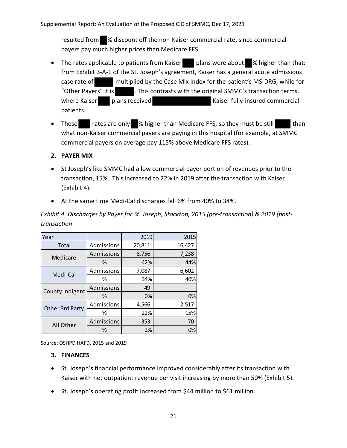resulted from % discount off the non-Kaiser commercial rate, since commercial payers pay much higher prices than Medicare FFS.

- plans were about % higher than that: ents from Kaiser<br>Joseph's agreement, Kaiser has a general case rate of multiplied by the Case Mix Index for the patient's MS-DRG, while for "Other Payers" it is  $\blacksquare$ . This contrasts with the original SMMC's transaction terms, where Kaiser pinca<br>: 3-A-<br>:rs" it<br>:r "Other Payers" it is **the set of the Solution** . This c<br>where Kaiser **the plans received** • The rates applicable to patients from Kaiser from Exhibit 3-A-1 of the St. Joseph's agreement, Kaiser has a general acute admissions Kaiser fully-insured commercial patients.
- commercial payers on average pay 115% above Medicare FFS rates). The Lagrangian States are only<br>
The Polisher than Medicare FFS, so they must be still<br>
The PFS rates are paying in this hospital (for example, at SM<br>
The PFS rates). • These rates are only % higher than Medicare FFS, so they must be still than what non-Kaiser commercial payers are paying in this hospital (for example, at SMMC

#### **2. PAYER MIX**

- • St Joseph's like SMMC had a low commercial payer portion of revenues prior to the transaction, 15%. This increased to 22% in 2019 after the transaction with Kaiser (Exhibit 4).
- At the same time Medi-Cal discharges fell 6% from 40% to 34%.

*Exhibit 4. Discharges by Payer for St. Joseph, Stockton, 2015 (pre-transaction) & 2019 (posttransaction* 

| Year            |            | 2019   | 2015   |
|-----------------|------------|--------|--------|
| Total           | Admissions | 20,811 | 16,427 |
| Medicare        | Admissions | 8,756  | 7,238  |
|                 | %          | 42%    | 44%    |
| Medi-Cal        | Admissions | 7,087  | 6,602  |
|                 | %          | 34%    | 40%    |
| County Indigent | Admissions | 49     |        |
|                 | %          | 0%     | 0%     |
| Other 3rd Party | Admissions | 4,566  | 2,517  |
|                 | ℅          | 22%    | 15%    |
| All Other       | Admissions | 353    | 70     |
|                 | ℅          | 2%     | 0%     |

Source: OSHPD HAFD, 2015 and 2019

#### **3. FINANCES**

- • St. Joseph's financial performance improved considerably after its transaction with Kaiser with net outpatient revenue per visit increasing by more than 50% (Exhibit 5).
- St. Joseph's operating profit increased from \$44 million to \$61 million.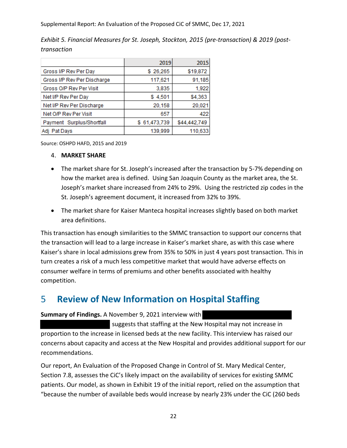|                             | 2019         | 2015         |
|-----------------------------|--------------|--------------|
| Gross I/P Rev Per Day       | \$26,265     | \$19,872     |
| Gross I/P Rev Per Discharge | 117,621      | 91,185       |
| Gross O/P Rev Per Visit     | 3,835        | 1,922        |
| Net I/P Rev Per Day         | \$4,501      | \$4,363      |
| Net I/P Rev Per Discharge   | 20,158       | 20,021       |
| Net O/P Rev Per Visit       | 657          | 422          |
| Payment Surplus/Shortfall   | \$61,473,739 | \$44,442,749 |
| Adj Pat Days                | 139,999      | 110,633      |

<span id="page-23-0"></span>*Exhibit 5. Financial Measures for St. Joseph, Stockton, 2015 (pre-transaction) & 2019 (posttransaction* 

Source: OSHPD HAFD, 2015 and 2019

#### 4. **MARKET SHARE**

- • The market share for St. Joseph's increased after the transaction by 5-7% depending on how the market area is defined. Using San Joaquin County as the market area, the St. Joseph's market share increased from 24% to 29%. Using the restricted zip codes in the St. Joseph's agreement document, it increased from 32% to 39%.
- • The market share for Kaiser Manteca hospital increases slightly based on both market area definitions.

 This transaction has enough similarities to the SMMC transaction to support our concerns that the transaction will lead to a large increase in Kaiser's market share, as with this case where Kaiser's share in local admissions grew from 35% to 50% in just 4 years post transaction. This in turn creates a risk of a much less competitive market that would have adverse effects on consumer welfare in terms of premiums and other benefits associated with healthy competition.

#### 5 **Review of New Information on Hospital Staffing**

#### **Summary of Findings.** A November 9, 2021 interview with

 suggests that staffing at the New Hospital may not increase in proportion to the increase in licensed beds at the new facility. This interview has raised our concerns about capacity and access at the New Hospital and provides additional support for our recommendations.

 "because the number of available beds would increase by nearly 23% under the CiC (260 beds Our report, An Evaluation of the Proposed Change in Control of St. Mary Medical Center, Section 7.8, assesses the CiC's likely impact on the availability of services for existing SMMC patients. Our model, as shown in Exhibit 19 of the initial report, relied on the assumption that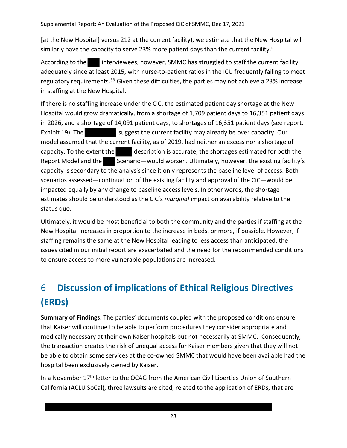<span id="page-24-0"></span> [at the New Hospital] versus 212 at the current facility), we estimate that the New Hospital will similarly have the capacity to serve 23% more patient days than the current facility."

According to the e cap<br>at le<br>reme interviewees, however, SMMC has struggled to staff the current facility adequately since at least 2015, with nurse-to-patient ratios in the ICU frequently failing to meet regulatory [requirements.](https://requirements.33)<sup>33</sup> Given these difficulties, the parties may not achieve a 23% increase in staffing at the New Hospital.

 Hospital would grow dramatically, from a shortage of 1,709 patient days to 16,351 patient days in 2026, and a shortage of 14,091 patient days, to shortages of 16,351 patient days (see report, Report Model and the Scenario—would worsen. Ultimately, however, the existing facility's capacity is secondary to the analysis since it only represents the baseline level of access. Both scenarios assessed—continuation of the existing facility and approval of the CiC—would be impacted equally by any change to baseline access levels. In other words, the shortage estimates should be understood as the CiC's *marginal* impact on availability relative to the grow<br>horta<br>that<br>exte sugge<br>he current f<br>t the<br>Scena<br>to the analy If there is no staffing increase under the CiC, the estimated patient day shortage at the New Exhibit 19). The suggest the current facility may already be over capacity. Our model assumed that the current facility, as of 2019, had neither an excess nor a shortage of capacity. To the extent the description is accurate, the shortages estimated for both the status quo.

Ultimately, it would be most beneficial to both the community and the parties if staffing at the New Hospital increases in proportion to the increase in beds, or more, if possible. However, if staffing remains the same at the New Hospital leading to less access than anticipated, the issues cited in our initial report are exacerbated and the need for the recommended conditions to ensure access to more vulnerable populations are increased.

## 6 **Discussion of implications of Ethical Religious Directives (ERDs)**

 that Kaiser will continue to be able to perform procedures they consider appropriate and medically necessary at their own Kaiser hospitals but not necessarily at SMMC. Consequently, the transaction creates the risk of unequal access for Kaiser members given that they will not be able to obtain some services at the co-owned SMMC that would have been available had the **Summary of Findings.** The parties' documents coupled with the proposed conditions ensure hospital been exclusively owned by Kaiser.

In a November 17<sup>th</sup> letter to the OCAG from the American Civil Liberties Union of Southern California (ACLU SoCal), three lawsuits are cited, related to the application of ERDs, that are

33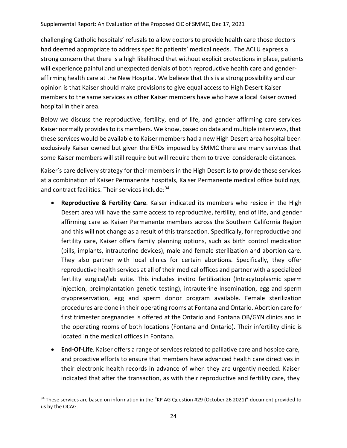challenging Catholic hospitals' refusals to allow doctors to provide health care those doctors had deemed appropriate to address specific patients' medical needs. The ACLU express a will experience painful and unexpected denials of both reproductive health care and gender- opinion is that Kaiser should make provisions to give equal access to High Desert Kaiser members to the same services as other Kaiser members have who have a local Kaiser owned strong concern that there is a high likelihood that without explicit protections in place, patients affirming health care at the New Hospital. We believe that this is a strong possibility and our hospital in their area.

 Kaiser normally provides to its members. We know, based on data and multiple interviews, that these services would be available to Kaiser members had a new High Desert area hospital been Below we discuss the reproductive, fertility, end of life, and gender affirming care services exclusively Kaiser owned but given the ERDs imposed by SMMC there are many services that some Kaiser members will still require but will require them to travel considerable distances.

 Kaiser's care delivery strategy for their members in the High Desert is to provide these services at a combination of Kaiser Permanente hospitals, Kaiser Permanente medical office buildings, and contract facilities. Their services include:<sup>34</sup>

- and this will not change as a result of this transaction. Specifically, for reproductive and injection, preimplantation genetic testing), intrauterine insemination, egg and sperm procedures are done in their operating rooms at Fontana and Ontario. Abortion care for • **Reproductive & Fertility Care**. Kaiser indicated its members who reside in the High Desert area will have the same access to reproductive, fertility, end of life, and gender affirming care as Kaiser Permanente members across the Southern California Region fertility care, Kaiser offers family planning options, such as birth control medication (pills, implants, intrauterine devices), male and female sterilization and abortion care. They also partner with local clinics for certain abortions. Specifically, they offer reproductive health services at all of their medical offices and partner with a specialized fertility surgical/lab suite. This includes invitro fertilization (Intracytoplasmic sperm cryopreservation, egg and sperm donor program available. Female sterilization first trimester pregnancies is offered at the Ontario and Fontana OB/GYN clinics and in the operating rooms of both locations (Fontana and Ontario). Their infertility clinic is located in the medical offices in Fontana.
- and proactive efforts to ensure that members have advanced health care directives in their electronic health records in advance of when they are urgently needed. Kaiser indicated that after the transaction, as with their reproductive and fertility care, they • **End-Of-Life**. Kaiser offers a range of services related to palliative care and hospice care,

<sup>&</sup>lt;sup>34</sup> These services are based on information in the "KP AG Question #29 (October 26 2021)" document provided to us by the OCAG.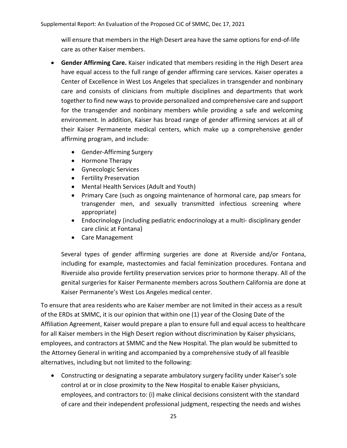care as other Kaiser members. will ensure that members in the High Desert area have the same options for end-of-life

- together to find new ways to provide personalized and comprehensive care and support environment. In addition, Kaiser has broad range of gender affirming services at all of • **Gender Affirming Care.** Kaiser indicated that members residing in the High Desert area have equal access to the full range of gender affirming care services. Kaiser operates a Center of Excellence in West Los Angeles that specializes in transgender and nonbinary care and consists of clinicians from multiple disciplines and departments that work for the transgender and nonbinary members while providing a safe and welcoming their Kaiser Permanente medical centers, which make up a comprehensive gender affirming program, and include:
	- Gender-Affirming Surgery
	- Hormone Therapy
	- Gynecologic Services
	- Fertility Preservation
	- Mental Health Services (Adult and Youth)
	- transgender men, and sexually transmitted infectious screening where • Primary Care (such as ongoing maintenance of hormonal care, pap smears for appropriate)
	- • Endocrinology (including pediatric endocrinology at a multi- disciplinary gender care clinic at Fontana)
	- Care Management

 Riverside also provide fertility preservation services prior to hormone therapy. All of the genital surgeries for Kaiser Permanente members across Southern California are done at Several types of gender affirming surgeries are done at Riverside and/or Fontana, including for example, mastectomies and facial feminization procedures. Fontana and Kaiser Permanente's West Los Angeles medical center.

 of the ERDs at SMMC, it is our opinion that within one (1) year of the Closing Date of the for all Kaiser members in the High Desert region without discrimination by Kaiser physicians, employees, and contractors at SMMC and the New Hospital. The plan would be submitted to To ensure that area residents who are Kaiser member are not limited in their access as a result Affiliation Agreement, Kaiser would prepare a plan to ensure full and equal access to healthcare the Attorney General in writing and accompanied by a comprehensive study of all feasible alternatives, including but not limited to the following:

 • Constructing or designating a separate ambulatory surgery facility under Kaiser's sole employees, and contractors to: (i) make clinical decisions consistent with the standard control at or in close proximity to the New Hospital to enable Kaiser physicians, of care and their independent professional judgment, respecting the needs and wishes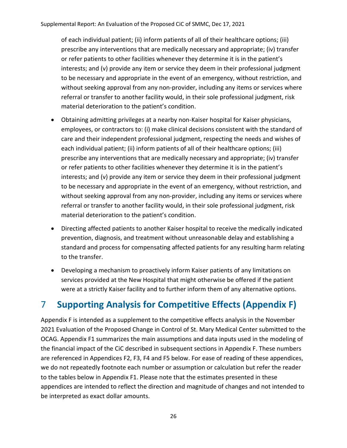<span id="page-27-0"></span> interests; and (v) provide any item or service they deem in their professional judgment referral or transfer to another facility would, in their sole professional judgment, risk of each individual patient; (ii) inform patients of all of their healthcare options; (iii) prescribe any interventions that are medically necessary and appropriate; (iv) transfer or refer patients to other facilities whenever they determine it is in the patient's to be necessary and appropriate in the event of an emergency, without restriction, and without seeking approval from any non-provider, including any items or services where material deterioration to the patient's condition.

- each individual patient; (ii) inform patients of all of their healthcare options; (iii) or refer patients to other facilities whenever they determine it is in the patient's interests; and (v) provide any item or service they deem in their professional judgment to be necessary and appropriate in the event of an emergency, without restriction, and referral or transfer to another facility would, in their sole professional judgment, risk • Obtaining admitting privileges at a nearby non-Kaiser hospital for Kaiser physicians, employees, or contractors to: (i) make clinical decisions consistent with the standard of care and their independent professional judgment, respecting the needs and wishes of prescribe any interventions that are medically necessary and appropriate; (iv) transfer without seeking approval from any non-provider, including any items or services where material deterioration to the patient's condition.
- Directing affected patients to another Kaiser hospital to receive the medically indicated prevention, diagnosis, and treatment without unreasonable delay and establishing a standard and process for compensating affected patients for any resulting harm relating to the transfer.
- services provided at the New Hospital that might otherwise be offered if the patient • Developing a mechanism to proactively inform Kaiser patients of any limitations on were at a strictly Kaiser facility and to further inform them of any alternative options.

#### **Supporting Analysis for Competitive Effects (Appendix F)** 7

 OCAG. Appendix F1 summarizes the main assumptions and data inputs used in the modeling of are referenced in Appendices F2, F3, F4 and F5 below. For ease of reading of these appendices, we do not repeatedly footnote each number or assumption or calculation but refer the reader to the tables below in Appendix F1. Please note that the estimates presented in these Appendix F is intended as a supplement to the competitive effects analysis in the November 2021 Evaluation of the Proposed Change in Control of St. Mary Medical Center submitted to the the financial impact of the CiC described in subsequent sections in Appendix F. These numbers appendices are intended to reflect the direction and magnitude of changes and not intended to be interpreted as exact dollar amounts.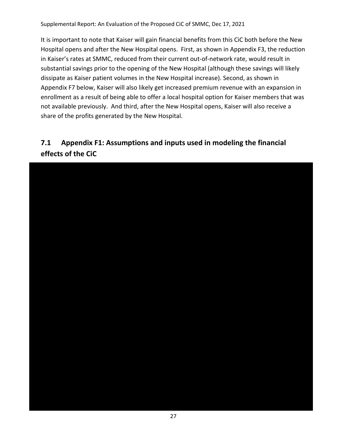<span id="page-28-0"></span>Supplemental Report: An Evaluation of the Proposed CiC of SMMC, Dec 17, 2021

 in Kaiser's rates at SMMC, reduced from their current out-of-network rate, would result in Appendix F7 below, Kaiser will also likely get increased premium revenue with an expansion in enrollment as a result of being able to offer a local hospital option for Kaiser members that was not available previously. And third, after the New Hospital opens, Kaiser will also receive a It is important to note that Kaiser will gain financial benefits from this CiC both before the New Hospital opens and after the New Hospital opens. First, as shown in Appendix F3, the reduction substantial savings prior to the opening of the New Hospital (although these savings will likely dissipate as Kaiser patient volumes in the New Hospital increase). Second, as shown in share of the profits generated by the New Hospital.

### **7.1 Appendix F1: Assumptions and inputs used in modeling the financial effects of the CiC**

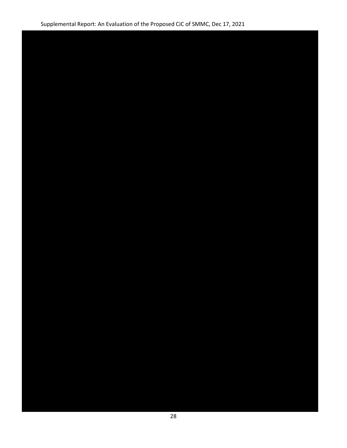28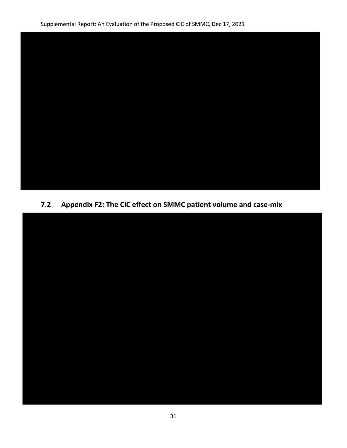<span id="page-32-0"></span>

## **7.2 Appendix F2: The CiC effect on SMMC patient volume and case-mix**

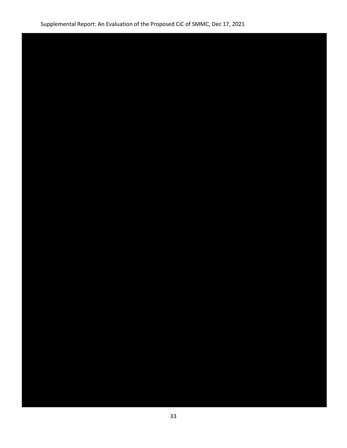33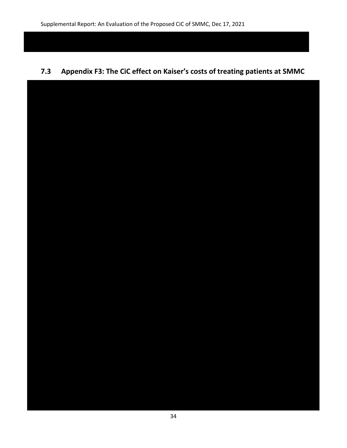## <span id="page-35-0"></span>**7.3 Appendix F3: The CiC effect on Kaiser's costs of treating patients at SMMC**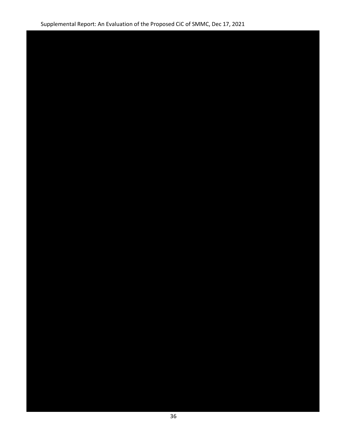36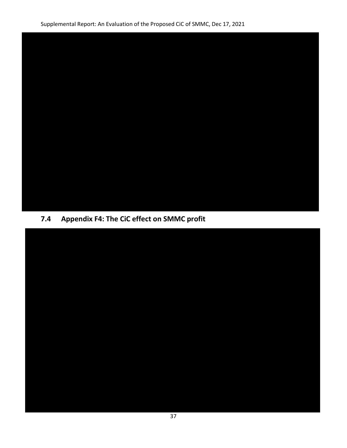<span id="page-38-0"></span>

## **7.4 Appendix F4: The CiC effect on SMMC profit**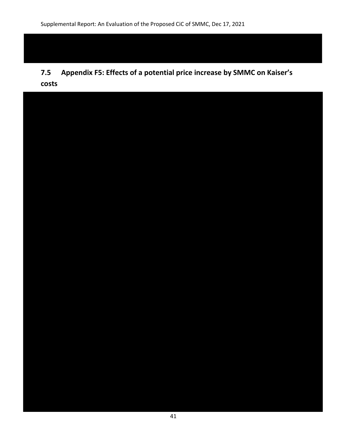### <span id="page-42-0"></span>**7.5 Appendix F5: Effects of a potential price increase by SMMC on Kaiser's costs**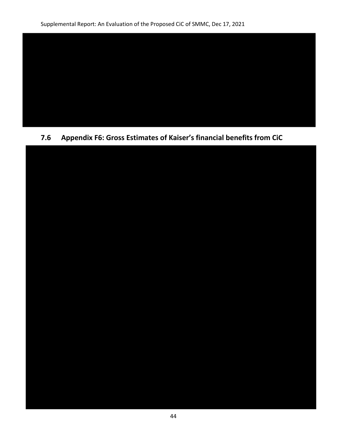<span id="page-45-0"></span>

## **7.6 Appendix F6: Gross Estimates of Kaiser's financial benefits from CiC**